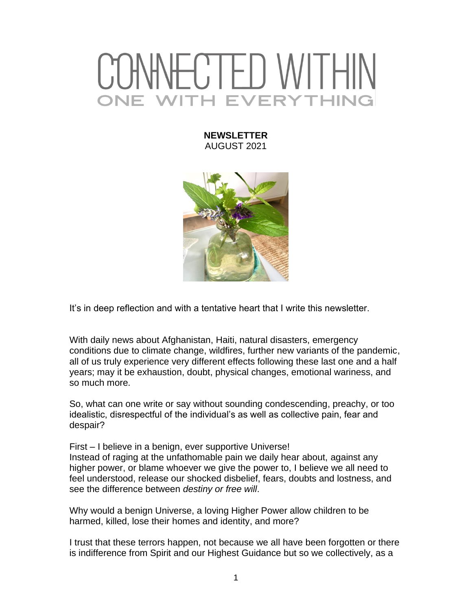## VHC I FD WI I HII **VITH EVERYTHING**

## **NEWSLETTER** AUGUST 2021



It's in deep reflection and with a tentative heart that I write this newsletter.

With daily news about Afghanistan, Haiti, natural disasters, emergency conditions due to climate change, wildfires, further new variants of the pandemic, all of us truly experience very different effects following these last one and a half years; may it be exhaustion, doubt, physical changes, emotional wariness, and so much more.

So, what can one write or say without sounding condescending, preachy, or too idealistic, disrespectful of the individual's as well as collective pain, fear and despair?

First – I believe in a benign, ever supportive Universe! Instead of raging at the unfathomable pain we daily hear about, against any higher power, or blame whoever we give the power to, I believe we all need to feel understood, release our shocked disbelief, fears, doubts and lostness, and see the difference between *destiny or free will*.

Why would a benign Universe, a loving Higher Power allow children to be harmed, killed, lose their homes and identity, and more?

I trust that these terrors happen, not because we all have been forgotten or there is indifference from Spirit and our Highest Guidance but so we collectively, as a